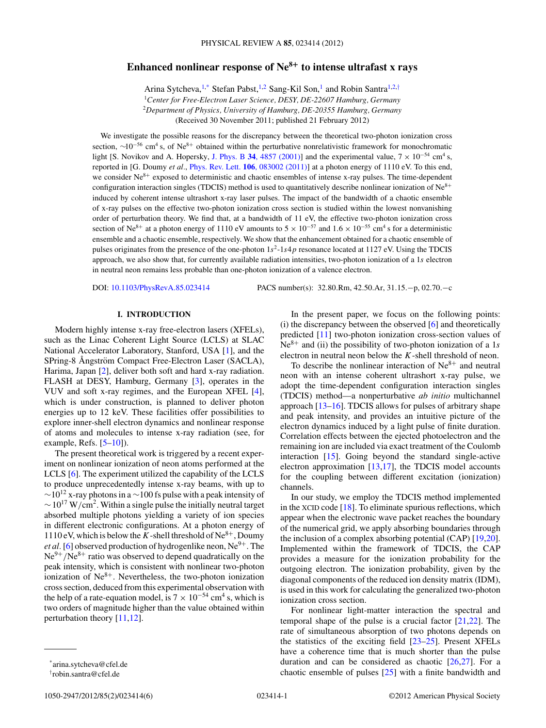# **Enhanced nonlinear response of Ne<sup>8</sup><sup>+</sup> to intense ultrafast x rays**

Arina Sytcheva,<sup>1,\*</sup> Stefan Pabst,<sup>1,2</sup> Sang-Kil Son,<sup>1</sup> and Robin Santra<sup>1,2,†</sup>

<sup>1</sup>*Center for Free-Electron Laser Science, DESY, DE-22607 Hamburg, Germany*

<sup>2</sup>*Department of Physics, University of Hamburg, DE-20355 Hamburg, Germany*

(Received 30 November 2011; published 21 February 2012)

We investigate the possible reasons for the discrepancy between the theoretical two-photon ionization cross section,  $\sim 10^{-56}$  cm<sup>4</sup> s, of Ne<sup>8+</sup> obtained within the perturbative nonrelativistic framework for monochromatic light [S. Novikov and A. Hopersky, J. Phys. B 34[, 4857 \(2001\)\]](http://dx.doi.org/10.1088/0953-4075/34/23/327) and the experimental value,  $7 \times 10^{-54}$  cm<sup>4</sup> s, reported in [G. Doumy *et al.*, Phys. Rev. Lett. **106**[, 083002 \(2011\)\]](http://dx.doi.org/10.1103/PhysRevLett.106.083002) at a photon energy of 1110 eV. To this end, we consider  $Ne^{8+}$  exposed to deterministic and chaotic ensembles of intense x-ray pulses. The time-dependent configuration interaction singles (TDCIS) method is used to quantitatively describe nonlinear ionization of  $Ne<sup>8+</sup>$ induced by coherent intense ultrashort x-ray laser pulses. The impact of the bandwidth of a chaotic ensemble of x-ray pulses on the effective two-photon ionization cross section is studied within the lowest nonvanishing order of perturbation theory. We find that, at a bandwidth of 11 eV, the effective two-photon ionization cross section of Ne<sup>8+</sup> at a photon energy of 1110 eV amounts to  $5 \times 10^{-57}$  and  $1.6 \times 10^{-55}$  cm<sup>4</sup> s for a deterministic ensemble and a chaotic ensemble, respectively. We show that the enhancement obtained for a chaotic ensemble of pulses originates from the presence of the one-photon  $1s^2$ -1*s*4*p* resonance located at 1127 eV. Using the TDCIS approach, we also show that, for currently available radiation intensities, two-photon ionization of a 1*s* electron in neutral neon remains less probable than one-photon ionization of a valence electron.

DOI: [10.1103/PhysRevA.85.023414](http://dx.doi.org/10.1103/PhysRevA.85.023414) PACS number(s): 32*.*80*.*Rm, 42*.*50*.*Ar, 31*.*15*.*−p, 02*.*70*.*−c

## **I. INTRODUCTION**

Modern highly intense x-ray free-electron lasers (XFELs), such as the Linac Coherent Light Source (LCLS) at SLAC National Accelerator Laboratory, Stanford, USA [\[1\]](#page-4-0), and the SPring-8 Ångström Compact Free-Electron Laser (SACLA), Harima, Japan [\[2\]](#page-4-0), deliver both soft and hard x-ray radiation. FLASH at DESY, Hamburg, Germany [\[3\]](#page-4-0), operates in the VUV and soft x-ray regimes, and the European XFEL [\[4\]](#page-4-0), which is under construction, is planned to deliver photon energies up to 12 keV. These facilities offer possibilities to explore inner-shell electron dynamics and nonlinear response of atoms and molecules to intense x-ray radiation (see, for example, Refs.  $[5-10]$ .

The present theoretical work is triggered by a recent experiment on nonlinear ionization of neon atoms performed at the LCLS [\[6\]](#page-4-0). The experiment utilized the capability of the LCLS to produce unprecedentedly intense x-ray beams, with up to  $\sim$ 10<sup>12</sup> x-ray photons in a  $\sim$ 100 fs pulse with a peak intensity of  $\sim$  10<sup>17</sup> W/cm<sup>2</sup>. Within a single pulse the initially neutral target absorbed multiple photons yielding a variety of ion species in different electronic configurations. At a photon energy of 1110 eV, which is below the *K*-shell threshold of  $Ne^{8+}$ , Doumy *et al.* [\[6\]](#page-4-0) observed production of hydrogenlike neon,  $Ne^{9+}$ . The Ne<sup>9+</sup>/Ne<sup>8+</sup> ratio was observed to depend quadratically on the peak intensity, which is consistent with nonlinear two-photon ionization of  $Ne^{8+}$ . Nevertheless, the two-photon ionization cross section, deduced from this experimental observation with the help of a rate-equation model, is  $7 \times 10^{-54}$  cm<sup>4</sup> s, which is two orders of magnitude higher than the value obtained within perturbation theory [\[11,12\]](#page-4-0).

In the present paper, we focus on the following points: (i) the discrepancy between the observed [\[6\]](#page-4-0) and theoretically predicted [\[11\]](#page-4-0) two-photon ionization cross-section values of  $Ne^{8+}$  and (ii) the possibility of two-photon ionization of a 1*s* electron in neutral neon below the *K*-shell threshold of neon.

To describe the nonlinear interaction of  $Ne^{8+}$  and neutral neon with an intense coherent ultrashort x-ray pulse, we adopt the time-dependent configuration interaction singles (TDCIS) method—a nonperturbative *ab initio* multichannel approach [\[13–16\]](#page-4-0). TDCIS allows for pulses of arbitrary shape and peak intensity, and provides an intuitive picture of the electron dynamics induced by a light pulse of finite duration. Correlation effects between the ejected photoelectron and the remaining ion are included via exact treatment of the Coulomb interaction [\[15\]](#page-4-0). Going beyond the standard single-active electron approximation [\[13,17\]](#page-4-0), the TDCIS model accounts for the coupling between different excitation (ionization) channels.

In our study, we employ the TDCIS method implemented in the XCID code  $[18]$ . To eliminate spurious reflections, which appear when the electronic wave packet reaches the boundary of the numerical grid, we apply absorbing boundaries through the inclusion of a complex absorbing potential (CAP) [\[19,](#page-4-0)[20\]](#page-5-0). Implemented within the framework of TDCIS, the CAP provides a measure for the ionization probability for the outgoing electron. The ionization probability, given by the diagonal components of the reduced ion density matrix (IDM), is used in this work for calculating the generalized two-photon ionization cross section.

For nonlinear light-matter interaction the spectral and temporal shape of the pulse is a crucial factor [\[21,22\]](#page-5-0). The rate of simultaneous absorption of two photons depends on the statistics of the exciting field [\[23–25\]](#page-5-0). Present XFELs have a coherence time that is much shorter than the pulse duration and can be considered as chaotic [\[26,27\]](#page-5-0). For a chaotic ensemble of pulses [\[25\]](#page-5-0) with a finite bandwidth and

<sup>\*</sup>arina.sytcheva@cfel.de

<sup>†</sup> robin.santra@cfel.de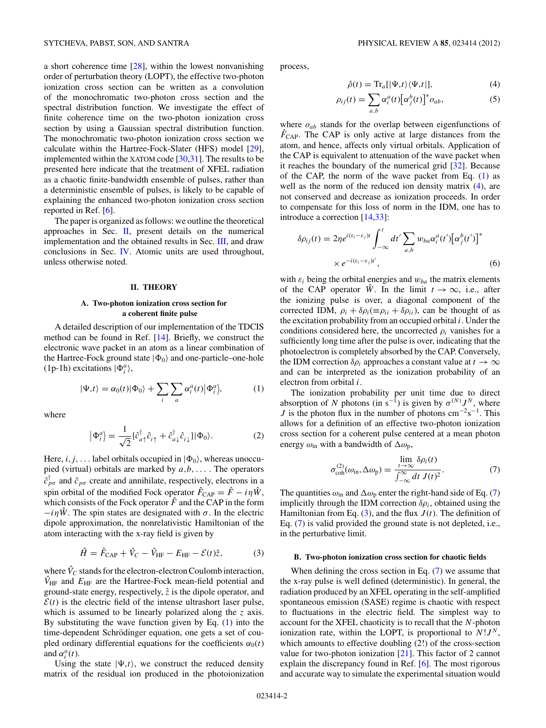<span id="page-1-0"></span>a short coherence time [\[28\]](#page-5-0), within the lowest nonvanishing order of perturbation theory (LOPT), the effective two-photon ionization cross section can be written as a convolution of the monochromatic two-photon cross section and the spectral distribution function. We investigate the effect of finite coherence time on the two-photon ionization cross section by using a Gaussian spectral distribution function. The monochromatic two-photon ionization cross section we calculate within the Hartree-Fock-Slater (HFS) model [\[29\]](#page-5-0), implemented within the XATOM code [\[30,31\]](#page-5-0). The results to be presented here indicate that the treatment of XFEL radiation as a chaotic finite-bandwidth ensemble of pulses, rather than a deterministic ensemble of pulses, is likely to be capable of explaining the enhanced two-photon ionization cross section reported in Ref. [\[6\]](#page-4-0).

The paper is organized as follows: we outline the theoretical approaches in Sec. II, present details on the numerical implementation and the obtained results in Sec. [III,](#page-2-0) and draw conclusions in Sec. [IV.](#page-4-0) Atomic units are used throughout, unless otherwise noted.

#### **II. THEORY**

### **A. Two-photon ionization cross section for a coherent finite pulse**

A detailed description of our implementation of the TDCIS method can be found in Ref. [\[14\]](#page-4-0). Briefly, we construct the electronic wave packet in an atom as a linear combination of the Hartree-Fock ground state  $|\Phi_0\rangle$  and one-particle–one-hole  $(1p-1h)$  excitations  $|\Phi_i^a\rangle$ ,

$$
|\Psi, t\rangle = \alpha_0(t) |\Phi_0\rangle + \sum_i \sum_a \alpha_i^a(t) |\Phi_i^a\rangle, \tag{1}
$$

where

$$
\left|\Phi_i^a\right\rangle = \frac{1}{\sqrt{2}} \{\hat{c}_{a\uparrow}^\dagger \hat{c}_{i\uparrow} + \hat{c}_{a\downarrow}^\dagger \hat{c}_{i\downarrow}\} \left|\Phi_0\right\rangle. \tag{2}
$$

Here, *i*, *j*, . . . label orbitals occupied in  $|\Phi_0\rangle$ , whereas unoccupied (virtual) orbitals are marked by *a,b, . . .* . The operators  $\hat{c}_{p\sigma}^{\dagger}$  and  $\hat{c}_{p\sigma}$  create and annihilate, respectively, electrons in a spin orbital of the modified Fock operator  $\hat{F}_{\text{CAP}} = \hat{F} - i\eta \hat{W}$ , which consists of the Fock operator  $\hat{F}$  and the CAP in the form  $-i\eta \hat{W}$ . The spin states are designated with  $\sigma$ . In the electric dipole approximation, the nonrelativistic Hamiltonian of the atom interacting with the x-ray field is given by

$$
\hat{H} = \hat{F}_{\text{CAP}} + \hat{V}_C - \hat{V}_{\text{HF}} - E_{\text{HF}} - \mathcal{E}(t)\hat{z},
$$
 (3)

where  $\hat{V}_C$  stands for the electron-electron Coulomb interaction,  $\hat{V}_{\text{HF}}$  and  $E_{\text{HF}}$  are the Hartree-Fock mean-field potential and ground-state energy, respectively, *z*ˆ is the dipole operator, and  $\mathcal{E}(t)$  is the electric field of the intense ultrashort laser pulse, which is assumed to be linearly polarized along the *z* axis. By substituting the wave function given by Eq. (1) into the time-dependent Schrödinger equation, one gets a set of coupled ordinary differential equations for the coefficients  $\alpha_0(t)$ and  $\alpha_i^a(t)$ .

Using the state  $|\Psi, t\rangle$ , we construct the reduced density matrix of the residual ion produced in the photoionization process,

$$
\hat{\rho}(t) = \text{Tr}_a[|\Psi, t\rangle\langle\Psi, t|],\tag{4}
$$

$$
\rho_{ij}(t) = \sum_{a,b} \alpha_i^a(t) \big[\alpha_j^b(t)\big]^* o_{ab},\tag{5}
$$

where *oab* stands for the overlap between eigenfunctions of  $\hat{F}_{\text{CAP}}$ . The CAP is only active at large distances from the atom, and hence, affects only virtual orbitals. Application of the CAP is equivalent to attenuation of the wave packet when it reaches the boundary of the numerical grid [\[32\]](#page-5-0). Because of the CAP, the norm of the wave packet from Eq.  $(1)$  as well as the norm of the reduced ion density matrix (4), are not conserved and decrease as ionization proceeds. In order to compensate for this loss of norm in the IDM, one has to introduce a correction [\[14,](#page-4-0)[33\]](#page-5-0):

$$
\delta \rho_{ij}(t) = 2\eta e^{i(\varepsilon_i - \varepsilon_j)t} \int_{-\infty}^t dt' \sum_{a,b} w_{ba} \alpha_i^a(t') [\alpha_j^b(t')]^*
$$
  
 
$$
\times e^{-i(\varepsilon_i - \varepsilon_j)t'},
$$
 (6)

with  $\varepsilon_i$  being the orbital energies and  $w_{ba}$  the matrix elements of the CAP operator  $\hat{W}$ . In the limit  $t \to \infty$ , i.e., after the ionizing pulse is over, a diagonal component of the corrected IDM,  $\rho_i + \delta \rho_i (\equiv \rho_{ii} + \delta \rho_{ii})$ , can be thought of as the excitation probability from an occupied orbital *i*. Under the conditions considered here, the uncorrected  $\rho_i$  vanishes for a sufficiently long time after the pulse is over, indicating that the photoelectron is completely absorbed by the CAP. Conversely, the IDM correction  $\delta \rho_i$  approaches a constant value at  $t \to \infty$ and can be interpreted as the ionization probability of an electron from orbital *i*.

The ionization probability per unit time due to direct absorption of *N* photons (in s<sup>-1</sup>) is given by  $\sigma^{(N)} J^N$ , where *J* is the photon flux in the number of photons cm<sup>-2</sup>s<sup>-1</sup>. This allows for a definition of an effective two-photon ionization cross section for a coherent pulse centered at a mean photon energy  $\omega_{\rm in}$  with a bandwidth of  $\Delta \omega_{\rm p}$ ,

$$
\sigma_{\text{coh}}^{(2)}(\omega_{\text{in}}, \Delta \omega_{\text{p}}) = \frac{\lim_{t \to \infty} \delta \rho_i(t)}{\int_{-\infty}^{\infty} dt \ J(t)^2}.
$$
 (7)

The quantities  $\omega_{\text{in}}$  and  $\Delta \omega_{\text{p}}$  enter the right-hand side of Eq. (7) implicitly through the IDM correction  $\delta \rho_i$ , obtained using the Hamiltonian from Eq.  $(3)$ , and the flux  $J(t)$ . The definition of Eq. (7) is valid provided the ground state is not depleted, i.e., in the perturbative limit.

#### **B. Two-photon ionization cross section for chaotic fields**

When defining the cross section in Eq. (7) we assume that the x-ray pulse is well defined (deterministic). In general, the radiation produced by an XFEL operating in the self-amplified spontaneous emission (SASE) regime is chaotic with respect to fluctuations in the electric field. The simplest way to account for the XFEL chaoticity is to recall that the *N*-photon ionization rate, within the LOPT, is proportional to  $N!J^N$ , which amounts to effective doubling (2!) of the cross-section value for two-photon ionization [\[21\]](#page-5-0). This factor of 2 cannot explain the discrepancy found in Ref. [\[6\]](#page-4-0). The most rigorous and accurate way to simulate the experimental situation would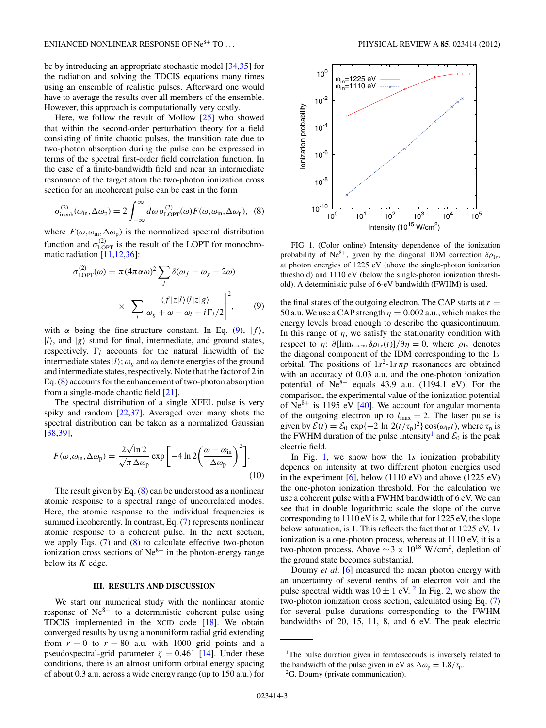<span id="page-2-0"></span>be by introducing an appropriate stochastic model [\[34,35\]](#page-5-0) for the radiation and solving the TDCIS equations many times using an ensemble of realistic pulses. Afterward one would have to average the results over all members of the ensemble. However, this approach is computationally very costly.

Here, we follow the result of Mollow [\[25\]](#page-5-0) who showed that within the second-order perturbation theory for a field consisting of finite chaotic pulses, the transition rate due to two-photon absorption during the pulse can be expressed in terms of the spectral first-order field correlation function. In the case of a finite-bandwidth field and near an intermediate resonance of the target atom the two-photon ionization cross section for an incoherent pulse can be cast in the form

$$
\sigma_{\text{incoh}}^{(2)}(\omega_{\text{in}}, \Delta \omega_{\text{p}}) = 2 \int_{-\infty}^{\infty} d\omega \,\sigma_{\text{LOPT}}^{(2)}(\omega) F(\omega, \omega_{\text{in}}, \Delta \omega_{\text{p}}), \tag{8}
$$

where  $F(\omega, \omega_{\text{in}}, \Delta \omega_{\text{p}})$  is the normalized spectral distribution function and  $\sigma_{\text{LOPT}}^{(2)}$  is the result of the LOPT for monochromatic radiation [\[11,12](#page-4-0)[,36\]](#page-5-0):

$$
\sigma_{\text{LOPT}}^{(2)}(\omega) = \pi (4\pi \alpha \omega)^2 \sum_{f} \delta(\omega_f - \omega_g - 2\omega)
$$

$$
\times \left| \sum_{l} \frac{\langle f|z|l\rangle \langle l|z|g\rangle}{\omega_g + \omega - \omega_l + i\Gamma_l/2} \right|^2, \qquad (9)
$$

with  $\alpha$  being the fine-structure constant. In Eq. (9),  $|f\rangle$ ,  $|l\rangle$ , and  $|g\rangle$  stand for final, intermediate, and ground states, respectively.  $\Gamma_l$  accounts for the natural linewidth of the intermediate states  $|l\rangle$ ;  $\omega_{g}$  and  $\omega_{l}$  denote energies of the ground and intermediate states, respectively. Note that the factor of 2 in Eq. (8) accounts for the enhancement of two-photon absorption from a single-mode chaotic field [\[21\]](#page-5-0).

The spectral distribution of a single XFEL pulse is very spiky and random [\[22,37\]](#page-5-0). Averaged over many shots the spectral distribution can be taken as a normalized Gaussian [\[38,39\]](#page-5-0),

$$
F(\omega, \omega_{\rm in}, \Delta \omega_{\rm p}) = \frac{2\sqrt{\ln 2}}{\sqrt{\pi} \Delta \omega_{\rm p}} \exp\left[-4 \ln 2 \left(\frac{\omega - \omega_{\rm in}}{\Delta \omega_{\rm p}}\right)^2\right].
$$
\n(10)

The result given by Eq.  $(8)$  can be understood as a nonlinear atomic response to a spectral range of uncorrelated modes. Here, the atomic response to the individual frequencies is summed incoherently. In contrast, Eq. [\(7\)](#page-1-0) represents nonlinear atomic response to a coherent pulse. In the next section, we apply Eqs. [\(7\)](#page-1-0) and (8) to calculate effective two-photon ionization cross sections of  $Ne^{8+}$  in the photon-energy range below its *K* edge.

#### **III. RESULTS AND DISCUSSION**

We start our numerical study with the nonlinear atomic response of  $Ne^{8+}$  to a deterministic coherent pulse using TDCIS implemented in the XCID code [\[18\]](#page-4-0). We obtain converged results by using a nonuniform radial grid extending from  $r = 0$  to  $r = 80$  a.u. with 1000 grid points and a pseudospectral-grid parameter  $\zeta = 0.461$  [\[14\]](#page-4-0). Under these conditions, there is an almost uniform orbital energy spacing of about 0.3 a.u. across a wide energy range (up to 150 a.u.) for



FIG. 1. (Color online) Intensity dependence of the ionization probability of Ne<sup>8+</sup>, given by the diagonal IDM correction  $\delta \rho_{1s}$ , at photon energies of 1225 eV (above the single-photon ionization threshold) and 1110 eV (below the single-photon ionization threshold). A deterministic pulse of 6-eV bandwidth (FWHM) is used.

the final states of the outgoing electron. The CAP starts at  $r =$ 50 a.u. We use a CAP strength  $\eta = 0.002$  a.u., which makes the energy levels broad enough to describe the quasicontinuum. In this range of  $\eta$ , we satisfy the stationarity condition with respect to *η*:  $\partial \left[\lim_{t\to\infty} \delta \rho_{1s}(t)\right] / \partial \eta = 0$ , where  $\rho_{1s}$  denotes the diagonal component of the IDM corresponding to the 1*s* orbital. The positions of  $1s^2$ -1*s np* resonances are obtained with an accuracy of 0.03 a.u. and the one-photon ionization potential of  $Ne^{8+}$  equals 43.9 a.u. (1194.1 eV). For the comparison, the experimental value of the ionization potential of  $Ne^{8+}$  is 1195 eV [\[40\]](#page-5-0). We account for angular momenta of the outgoing electron up to  $l_{\text{max}} = 2$ . The laser pulse is given by  $\mathcal{E}(t) = \mathcal{E}_0 \exp\{-2 \ln 2(t/\tau_p)^2\} \cos(\omega_{\text{in}}t)$ , where  $\tau_p$  is the FWHM duration of the pulse intensity<sup>1</sup> and  $\mathcal{E}_0$  is the peak electric field.

In Fig. 1, we show how the 1*s* ionization probability depends on intensity at two different photon energies used in the experiment  $[6]$ , below (1110 eV) and above (1225 eV) the one-photon ionization threshold. For the calculation we use a coherent pulse with a FWHM bandwidth of 6 eV. We can see that in double logarithmic scale the slope of the curve corresponding to 1110 eV is 2, while that for 1225 eV, the slope below saturation, is 1. This reflects the fact that at 1225 eV, 1*s* ionization is a one-photon process, whereas at 1110 eV, it is a two-photon process. Above ∼3 × 1018 W*/*cm2, depletion of the ground state becomes substantial.

Doumy *et al.* [\[6\]](#page-4-0) measured the mean photon energy with an uncertainty of several tenths of an electron volt and the pulse spectral width was  $10 \pm 1$  eV. <sup>2</sup> In Fig. [2,](#page-3-0) we show the two-photon ionization cross section, calculated using Eq. [\(7\)](#page-1-0) for several pulse durations corresponding to the FWHM bandwidths of 20, 15, 11, 8, and 6 eV. The peak electric

<sup>&</sup>lt;sup>1</sup>The pulse duration given in femtoseconds is inversely related to the bandwidth of the pulse given in eV as  $\Delta \omega_p = 1.8 / \tau_p$ .<br><sup>2</sup>G. Doumy (private communication).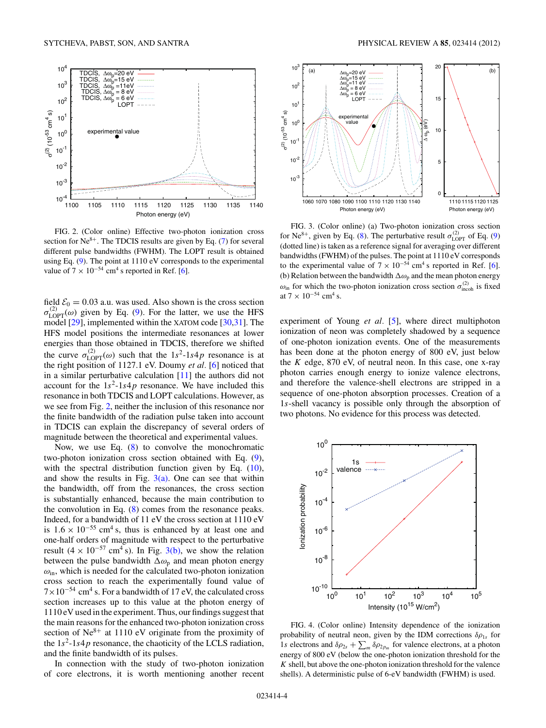<span id="page-3-0"></span>

FIG. 2. (Color online) Effective two-photon ionization cross section for  $Ne^{8+}$ . The TDCIS results are given by Eq. [\(7\)](#page-1-0) for several different pulse bandwidths (FWHM). The LOPT result is obtained using Eq. [\(9\)](#page-2-0). The point at 1110 eV corresponds to the experimental value of  $7 \times 10^{-54}$  cm<sup>4</sup> s reported in Ref. [\[6\]](#page-4-0).

field  $\mathcal{E}_0 = 0.03$  a.u. was used. Also shown is the cross section  $\sigma_{\text{LOPT}}^{(2)}(\omega)$  given by Eq. [\(9\)](#page-2-0). For the latter, we use the HFS model [\[29\]](#page-5-0), implemented within the XATOM code [\[30,31\]](#page-5-0). The HFS model positions the intermediate resonances at lower energies than those obtained in TDCIS, therefore we shifted the curve  $\sigma_{\text{LOPT}}^{(2)}(\omega)$  such that the  $1s^2$ -1*s*4*p* resonance is at the right position of 1127.1 eV. Doumy *et al.* [\[6\]](#page-4-0) noticed that in a similar perturbative calculation [\[11\]](#page-4-0) the authors did not account for the  $1s^2$ -1*s*4*p* resonance. We have included this resonance in both TDCIS and LOPT calculations. However, as we see from Fig. 2, neither the inclusion of this resonance nor the finite bandwidth of the radiation pulse taken into account in TDCIS can explain the discrepancy of several orders of magnitude between the theoretical and experimental values.

Now, we use Eq. [\(8\)](#page-2-0) to convolve the monochromatic two-photon ionization cross section obtained with Eq. [\(9\)](#page-2-0), with the spectral distribution function given by Eq. [\(10\)](#page-2-0), and show the results in Fig.  $3(a)$ . One can see that within the bandwidth, off from the resonances, the cross section is substantially enhanced, because the main contribution to the convolution in Eq. [\(8\)](#page-2-0) comes from the resonance peaks. Indeed, for a bandwidth of 11 eV the cross section at 1110 eV is  $1.6 \times 10^{-55}$  cm<sup>4</sup> s, thus is enhanced by at least one and one-half orders of magnitude with respect to the perturbative result (4 × 10<sup>-57</sup> cm<sup>4</sup> s). In Fig. 3(b), we show the relation between the pulse bandwidth  $\Delta\omega_p$  and mean photon energy *ω*in, which is needed for the calculated two-photon ionization cross section to reach the experimentally found value of  $7 \times 10^{-54}$  cm<sup>4</sup> s. For a bandwidth of 17 eV, the calculated cross section increases up to this value at the photon energy of 1110 eV used in the experiment. Thus, our findings suggest that the main reasons for the enhanced two-photon ionization cross section of  $Ne^{8+}$  at 1110 eV originate from the proximity of the  $1s^2$ -1*s*4*p* resonance, the chaoticity of the LCLS radiation, and the finite bandwidth of its pulses.

In connection with the study of two-photon ionization of core electrons, it is worth mentioning another recent



FIG. 3. (Color online) (a) Two-photon ionization cross section for Ne<sup>8+</sup>, given by Eq. [\(8\)](#page-2-0). The perturbative result  $\sigma_{\text{LOPT}}^{(2)}$  of Eq. [\(9\)](#page-2-0) (dotted line) is taken as a reference signal for averaging over different bandwidths (FWHM) of the pulses. The point at 1110 eV corresponds to the experimental value of  $7 \times 10^{-54}$  cm<sup>4</sup> s reported in Ref. [\[6\]](#page-4-0). (b) Relation between the bandwidth  $\Delta\omega_p$  and the mean photon energy  $\omega_{\text{in}}$  for which the two-photon ionization cross section  $\sigma_{\text{incoh}}^{(2)}$  is fixed at  $7 \times 10^{-54}$  cm<sup>4</sup> s.

experiment of Young *et al.* [\[5\]](#page-4-0), where direct multiphoton ionization of neon was completely shadowed by a sequence of one-photon ionization events. One of the measurements has been done at the photon energy of 800 eV, just below the *K* edge, 870 eV, of neutral neon. In this case, one x-ray photon carries enough energy to ionize valence electrons, and therefore the valence-shell electrons are stripped in a sequence of one-photon absorption processes. Creation of a 1*s*-shell vacancy is possible only through the absorption of two photons. No evidence for this process was detected.



FIG. 4. (Color online) Intensity dependence of the ionization probability of neutral neon, given by the IDM corrections  $\delta \rho_{1s}$  for 1*s* electrons and  $\delta \rho_{2s} + \sum_{m} \delta \rho_{2p_m}$  for valence electrons, at a photon energy of 800 eV (below the one-photon ionization threshold for the *K* shell, but above the one-photon ionization threshold for the valence shells). A deterministic pulse of 6-eV bandwidth (FWHM) is used.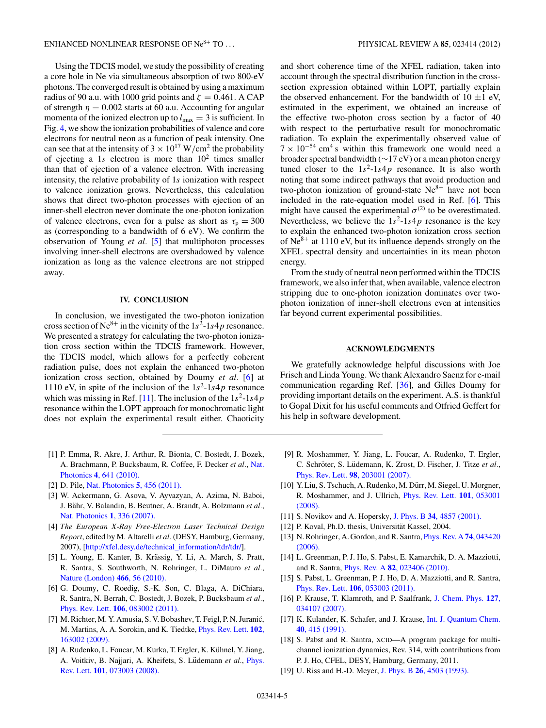<span id="page-4-0"></span>Using the TDCIS model, we study the possibility of creating a core hole in Ne via simultaneous absorption of two 800-eV photons. The converged result is obtained by using a maximum radius of 90 a.u. with 1000 grid points and  $\zeta = 0.461$ . A CAP of strength  $\eta = 0.002$  starts at 60 a.u. Accounting for angular momenta of the ionized electron up to  $l_{\text{max}} = 3$  is sufficient. In Fig. [4,](#page-3-0) we show the ionization probabilities of valence and core electrons for neutral neon as a function of peak intensity. One can see that at the intensity of  $3 \times 10^{17}$  W/cm<sup>2</sup> the probability of ejecting a 1s electron is more than  $10^2$  times smaller than that of ejection of a valence electron. With increasing intensity, the relative probability of 1*s* ionization with respect to valence ionization grows. Nevertheless, this calculation shows that direct two-photon processes with ejection of an inner-shell electron never dominate the one-photon ionization of valence electrons, even for a pulse as short as  $\tau_p = 300$ as (corresponding to a bandwidth of 6 eV). We confirm the observation of Young *et al.* [5] that multiphoton processes involving inner-shell electrons are overshadowed by valence ionization as long as the valence electrons are not stripped away.

#### **IV. CONCLUSION**

In conclusion, we investigated the two-photon ionization cross section of Ne<sup>8+</sup> in the vicinity of the  $1s^2$ -1*s*4*p* resonance. We presented a strategy for calculating the two-photon ionization cross section within the TDCIS framework. However, the TDCIS model, which allows for a perfectly coherent radiation pulse, does not explain the enhanced two-photon ionization cross section, obtained by Doumy *et al.* [6] at 1110 eV, in spite of the inclusion of the  $1s^2$ -1*s*4*p* resonance which was missing in Ref.  $[11]$ . The inclusion of the  $1s^2$ -1*s*4*p* resonance within the LOPT approach for monochromatic light does not explain the experimental result either. Chaoticity

- [1] P. Emma, R. Akre, J. Arthur, R. Bionta, C. Bostedt, J. Bozek, A. Brachmann, P. Bucksbaum, R. Coffee, F. Decker *et al.*, [Nat.](http://dx.doi.org/10.1038/nphoton.2010.176) Photonics **4**[, 641 \(2010\).](http://dx.doi.org/10.1038/nphoton.2010.176)
- [2] D. Pile, [Nat. Photonics](http://dx.doi.org/10.1038/nphoton.2011.178) **5**, 456 (2011).
- [3] W. Ackermann, G. Asova, V. Ayvazyan, A. Azima, N. Baboi, J. Bähr, V. Balandin, B. Beutner, A. Brandt, A. Bolzmann et al., [Nat. Photonics](http://dx.doi.org/10.1038/nphoton.2007.76) **1**, 336 (2007).
- [4] *The European X-Ray Free-Electron Laser Technical Design Report*, edited by M. Altarelli *et al.* (DESY, Hamburg, Germany, 2007), [\[http://xfel.desy.de/technical\\_information/tdr/tdr/\]](http://xfel.desy.de/technical_information/tdr/tdr/).
- [5] L. Young, E. Kanter, B. Krässig, Y. Li, A. March, S. Pratt, R. Santra, S. Southworth, N. Rohringer, L. DiMauro *et al.*, [Nature \(London\)](http://dx.doi.org/10.1038/nature09177) **466**, 56 (2010).
- [6] G. Doumy, C. Roedig, S.-K. Son, C. Blaga, A. DiChiara, R. Santra, N. Berrah, C. Bostedt, J. Bozek, P. Bucksbaum *et al.*, Phys. Rev. Lett. **106**[, 083002 \(2011\).](http://dx.doi.org/10.1103/PhysRevLett.106.083002)
- [7] M. Richter, M. Y. Amusia, S. V. Bobashev, T. Feigl, P. N. Juranic,´ M. Martins, A. A. Sorokin, and K. Tiedtke, [Phys. Rev. Lett.](http://dx.doi.org/10.1103/PhysRevLett.102.163002) **102**, [163002 \(2009\).](http://dx.doi.org/10.1103/PhysRevLett.102.163002)
- [8] A. Rudenko, L. Foucar, M. Kurka, T. Ergler, K. Kühnel, Y. Jiang, A. Voitkiv, B. Najjari, A. Kheifets, S. Lüdemann et al., [Phys.](http://dx.doi.org/10.1103/PhysRevLett.101.073003) Rev. Lett. **101**[, 073003 \(2008\).](http://dx.doi.org/10.1103/PhysRevLett.101.073003)

and short coherence time of the XFEL radiation, taken into account through the spectral distribution function in the crosssection expression obtained within LOPT, partially explain the observed enhancement. For the bandwidth of  $10 \pm 1$  eV, estimated in the experiment, we obtained an increase of the effective two-photon cross section by a factor of 40 with respect to the perturbative result for monochromatic radiation. To explain the experimentally observed value of  $7 \times 10^{-54}$  cm<sup>4</sup> s within this framework one would need a broader spectral bandwidth (∼17 eV) or a mean photon energy tuned closer to the  $1s^2$ -1*s*4*p* resonance. It is also worth noting that some indirect pathways that avoid production and two-photon ionization of ground-state  $Ne^{8+}$  have not been included in the rate-equation model used in Ref. [6]. This might have caused the experimental  $\sigma^{(2)}$  to be overestimated. Nevertheless, we believe the  $1s^2$ -1*s*4*p* resonance is the key to explain the enhanced two-photon ionization cross section of  $Ne^{8+}$  at 1110 eV, but its influence depends strongly on the XFEL spectral density and uncertainties in its mean photon energy.

From the study of neutral neon performed within the TDCIS framework, we also infer that, when available, valence electron stripping due to one-photon ionization dominates over twophoton ionization of inner-shell electrons even at intensities far beyond current experimental possibilities.

### **ACKNOWLEDGMENTS**

We gratefully acknowledge helpful discussions with Joe Frisch and Linda Young. We thank Alexandro Saenz for e-mail communication regarding Ref. [\[36\]](#page-5-0), and Gilles Doumy for providing important details on the experiment. A.S. is thankful to Gopal Dixit for his useful comments and Otfried Geffert for his help in software development.

- [9] R. Moshammer, Y. Jiang, L. Foucar, A. Rudenko, T. Ergler, C. Schröter, S. Lüdemann, K. Zrost, D. Fischer, J. Titze et al., Phys. Rev. Lett. **98**[, 203001 \(2007\).](http://dx.doi.org/10.1103/PhysRevLett.98.203001)
- [10] Y. Liu, S. Tschuch, A. Rudenko, M. Dürr, M. Siegel, U. Morgner, R. Moshammer, and J. Ullrich, [Phys. Rev. Lett.](http://dx.doi.org/10.1103/PhysRevLett.101.053001) **101**, 053001 [\(2008\).](http://dx.doi.org/10.1103/PhysRevLett.101.053001)
- [11] S. Novikov and A. Hopersky, J. Phys. B **34**[, 4857 \(2001\).](http://dx.doi.org/10.1088/0953-4075/34/23/327)
- [12] P. Koval, Ph.D. thesis, Universität Kassel, 2004.
- [13] N. Rohringer, A. Gordon, and R. Santra, [Phys. Rev. A](http://dx.doi.org/10.1103/PhysRevA.74.043420) **74**, 043420 [\(2006\).](http://dx.doi.org/10.1103/PhysRevA.74.043420)
- [14] L. Greenman, P. J. Ho, S. Pabst, E. Kamarchik, D. A. Mazziotti, and R. Santra, Phys. Rev. A **82**[, 023406 \(2010\).](http://dx.doi.org/10.1103/PhysRevA.82.023406)
- [15] S. Pabst, L. Greenman, P. J. Ho, D. A. Mazziotti, and R. Santra, Phys. Rev. Lett. **106**[, 053003 \(2011\).](http://dx.doi.org/10.1103/PhysRevLett.106.053003)
- [16] P. Krause, T. Klamroth, and P. Saalfrank, [J. Chem. Phys.](http://dx.doi.org/10.1063/1.2749503) **127**, [034107 \(2007\).](http://dx.doi.org/10.1063/1.2749503)
- [17] K. Kulander, K. Schafer, and J. Krause, *[Int. J. Quantum Chem.](http://dx.doi.org/10.1002/qua.560400839)* **40**[, 415 \(1991\).](http://dx.doi.org/10.1002/qua.560400839)
- [18] S. Pabst and R. Santra, XCID—A program package for multichannel ionization dynamics, Rev. 314, with contributions from P. J. Ho, CFEL, DESY, Hamburg, Germany, 2011.
- [19] U. Riss and H.-D. Meyer, J. Phys. B **26**[, 4503 \(1993\).](http://dx.doi.org/10.1088/0953-4075/26/23/021)